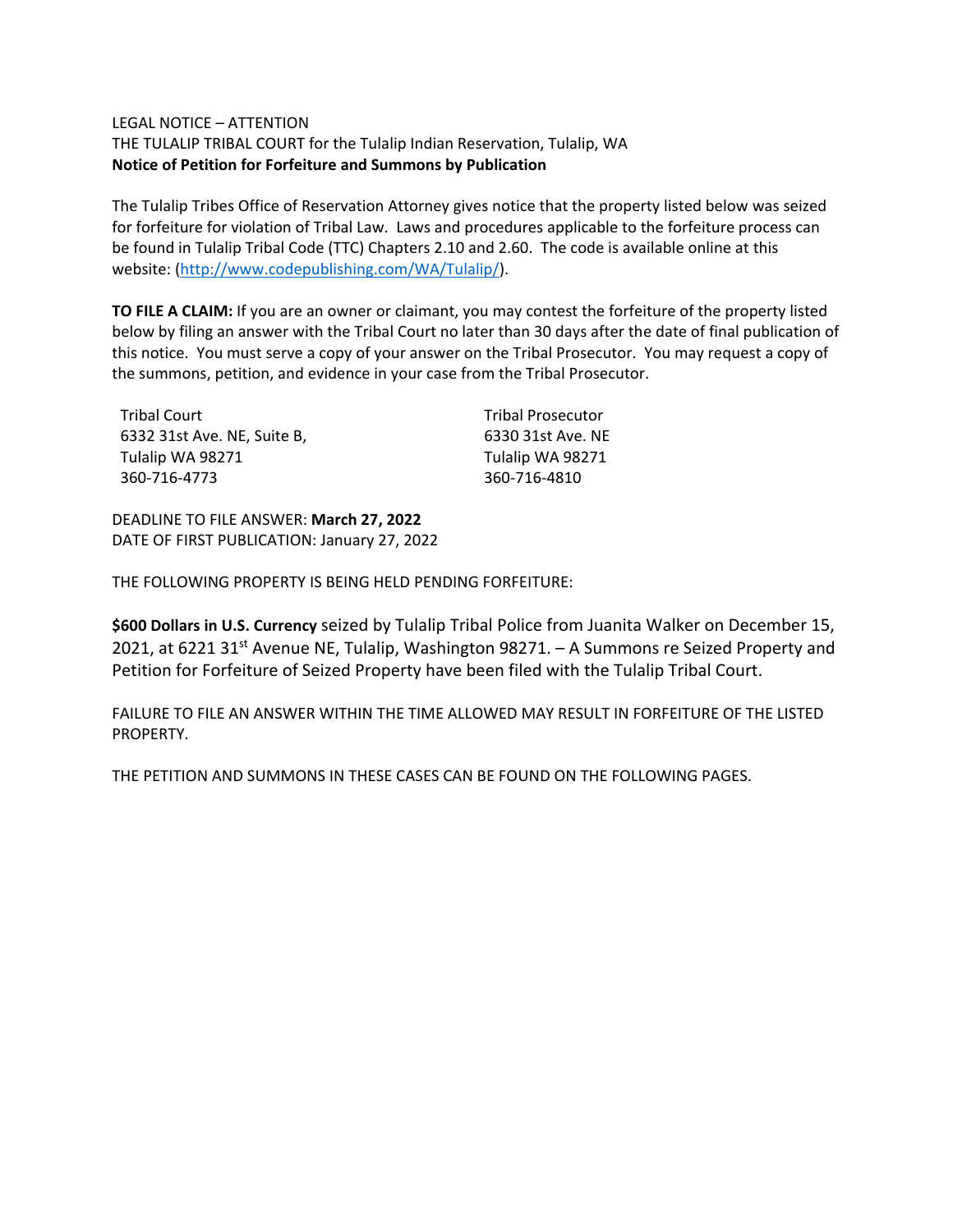#### LEGAL NOTICE – ATTENTION

THE TULALIP TRIBAL COURT for the Tulalip Indian Reservation, Tulalip, WA **Notice of Petition for Forfeiture and Summons by Publication**

The Tulalip Tribes Office of Reservation Attorney gives notice that the property listed below was seized for forfeiture for violation of Tribal Law. Laws and procedures applicable to the forfeiture process can be found in Tulalip Tribal Code (TTC) Chapters 2.10 and 2.60. The code is available online at this website: [\(http://www.codepublishing.com/WA/Tulalip/\)](http://www.codepublishing.com/WA/Tulalip/).

**TO FILE A CLAIM:** If you are an owner or claimant, you may contest the forfeiture of the property listed below by filing an answer with the Tribal Court no later than 30 days after the date of final publication of this notice. You must serve a copy of your answer on the Tribal Prosecutor. You may request a copy of the summons, petition, and evidence in your case from the Tribal Prosecutor.

| Tribal Court                | <b>Tribal Prosecutor</b> |
|-----------------------------|--------------------------|
| 6332 31st Ave. NE. Suite B. | 6330 31st Ave. NE        |
| Tulalip WA 98271            | Tulalip WA 98271         |
| 360-716-4773                | 360-716-4810             |

DEADLINE TO FILE ANSWER: **March 27, 2022** DATE OF FIRST PUBLICATION: January 27, 2022

THE FOLLOWING PROPERTY IS BEING HELD PENDING FORFEITURE:

**\$600 Dollars in U.S. Currency** seized by Tulalip Tribal Police from Juanita Walker on December 15, 2021, at 6221 31<sup>st</sup> Avenue NE, Tulalip, Washington 98271. - A Summons re Seized Property and Petition for Forfeiture of Seized Property have been filed with the Tulalip Tribal Court.

FAILURE TO FILE AN ANSWER WITHIN THE TIME ALLOWED MAY RESULT IN FORFEITURE OF THE LISTED PROPERTY.

THE PETITION AND SUMMONS IN THESE CASES CAN BE FOUND ON THE FOLLOWING PAGES.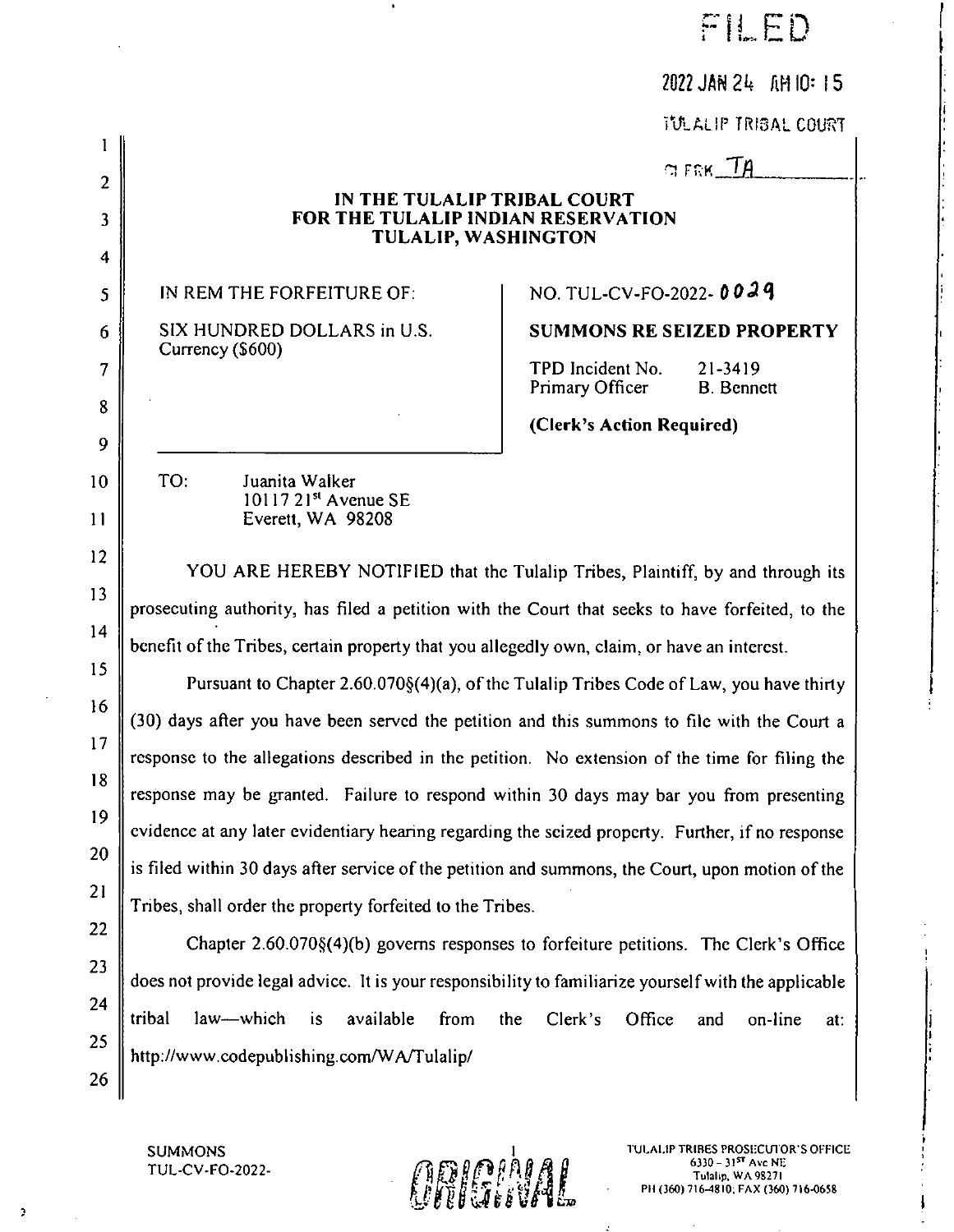|                | 2022 JAN 24 AM 10: 15                                                                                |  |  |  |  |  |  |
|----------------|------------------------------------------------------------------------------------------------------|--|--|--|--|--|--|
|                | TULALIP TRIBAL COURT                                                                                 |  |  |  |  |  |  |
|                | $GFRK\_TA$                                                                                           |  |  |  |  |  |  |
| $\overline{2}$ | IN THE TULALIP TRIBAL COURT                                                                          |  |  |  |  |  |  |
| 3              | FOR THE TULALIP INDIAN RESERVATION<br><b>TULALIP, WASHINGTON</b>                                     |  |  |  |  |  |  |
| 4<br>5         | NO. TUL-CV-FO-2022-0029<br>IN REM THE FORFEITURE OF:                                                 |  |  |  |  |  |  |
|                | SIX HUNDRED DOLLARS in U.S.<br><b>SUMMONS RE SEIZED PROPERTY</b>                                     |  |  |  |  |  |  |
| 6              | Currency (\$600)<br>TPD Incident No.                                                                 |  |  |  |  |  |  |
| $\overline{7}$ | 21-3419<br>Primary Officer<br><b>B.</b> Bennett                                                      |  |  |  |  |  |  |
| 8              | (Clerk's Action Required)                                                                            |  |  |  |  |  |  |
| 9              |                                                                                                      |  |  |  |  |  |  |
| 10             | TO:<br>Juanita Walker<br>10117 21 <sup>st</sup> Avenue SE                                            |  |  |  |  |  |  |
| $\mathbf{1}$   | Everett, WA 98208                                                                                    |  |  |  |  |  |  |
| 12             | YOU ARE HEREBY NOTIFIED that the Tulalip Tribes, Plaintiff, by and through its                       |  |  |  |  |  |  |
| 13             | prosecuting authority, has filed a petition with the Court that seeks to have forfeited, to the      |  |  |  |  |  |  |
| 14             | benefit of the Tribes, certain property that you allegedly own, claim, or have an interest.          |  |  |  |  |  |  |
| 15             | Pursuant to Chapter 2.60.070§(4)(a), of the Tulalip Tribes Code of Law, you have thirty              |  |  |  |  |  |  |
| 16             | (30) days after you have been served the petition and this summons to file with the Court a          |  |  |  |  |  |  |
| 17             | response to the allegations described in the petition. No extension of the time for filing the       |  |  |  |  |  |  |
| 18             | response may be granted. Failure to respond within 30 days may bar you from presenting               |  |  |  |  |  |  |
| 19             | evidence at any later evidentiary hearing regarding the seized property. Further, if no response     |  |  |  |  |  |  |
| 20             | is filed within 30 days after service of the petition and summons, the Court, upon motion of the     |  |  |  |  |  |  |
| 21             | Tribes, shall order the property forfeited to the Tribes.                                            |  |  |  |  |  |  |
| 22             | Chapter 2.60.070§(4)(b) governs responses to forfeiture petitions. The Clerk's Office                |  |  |  |  |  |  |
| 23             | does not provide legal advice. It is your responsibility to familiarize yourself with the applicable |  |  |  |  |  |  |
| 24             | tribal<br>law-which<br>is<br>available<br>from<br>Clerk's<br>the<br>Office<br>and<br>on-line<br>at:  |  |  |  |  |  |  |
| 25<br>26       | http://www.codepublishing.com/WA/Tulalip/                                                            |  |  |  |  |  |  |

 $\bullet$ 

 $\ddot{\phantom{1}}$ 

 $\sim$ 



**Contractor** 

TRIBES-PROSECUTOR'S OFFICE<br>6330 – 31<sup>st</sup> Ave NE PH (360) 716–4810; FAX (360) 716-0658

FILED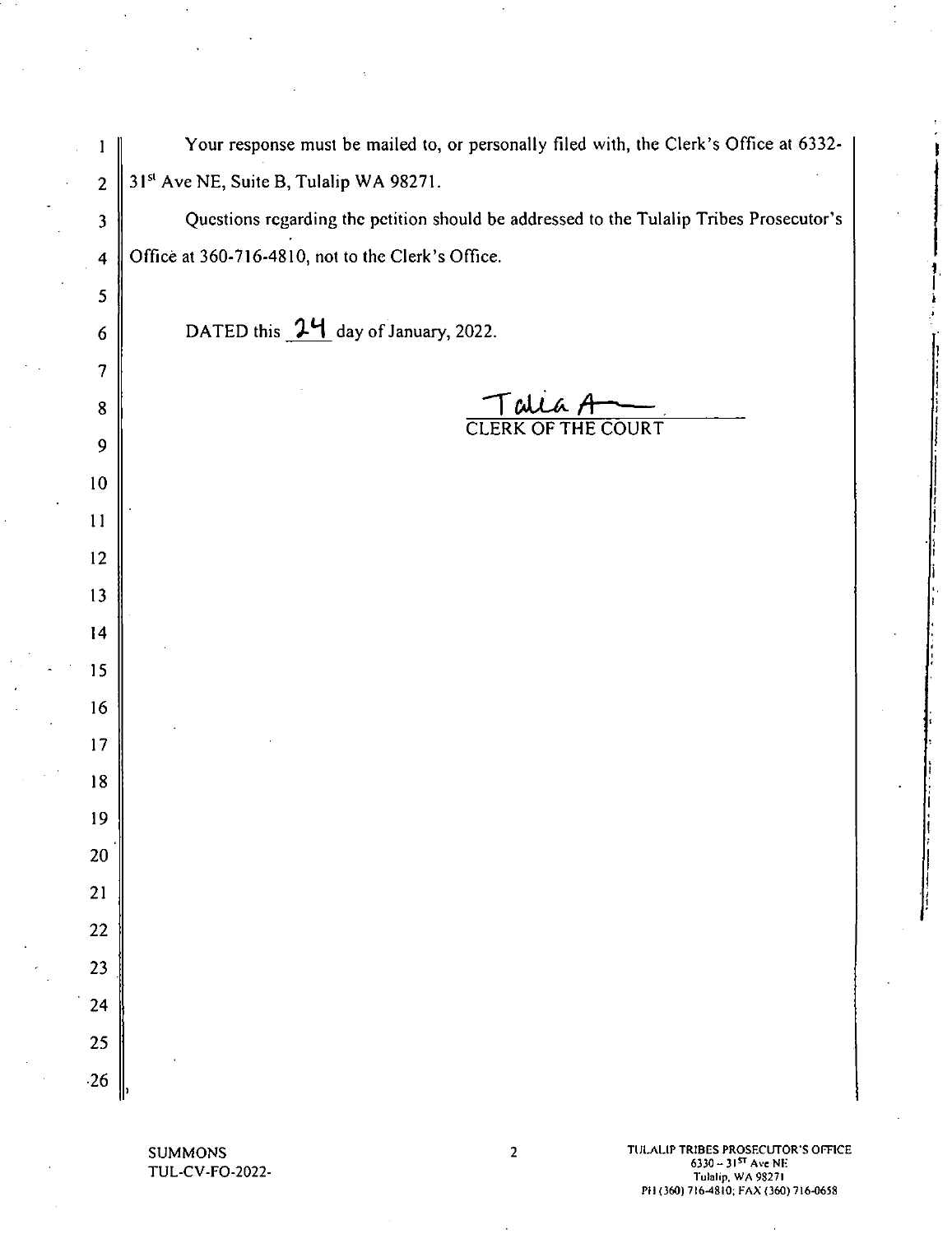| Your response must be mailed to, or personally filed with, the Clerk's Office at 6332- |  |
|----------------------------------------------------------------------------------------|--|
| 31 <sup>st</sup> Ave NE, Suite B, Tulalip WA 98271.                                    |  |

Questions regarding the petition should be addressed to the Tulalip Tribes Prosecutor's Office at 360-716-4810, not to the Clerk's Office.

DATED this  $1'$ <sub>1</sub> day of January, 2022.

Talla A

SUMMONS<br>TUL-CV-FO-2022-

10

 $\mathbf{1}$ 

 $\overline{2}$ 

 $\overline{\mathbf{3}}$ 

 $\overline{\mathbf{4}}$ 

5

6

 $\overline{7}$ 

 $\bf{8}$ 

 $\overline{9}$ 

ll

12

l3

15

 $14$ 

l6

17

l8

l9

20'

21

22

23\_

24

25

~26

TULALIP TRIBES PROSECUTOR'S OFFICE<br>6330 – 3157 Ave NE  $\text{G330} - 31$ <sup>5T</sup> Ave NE<br>  $\text{Hulb}_p$ , WA 98271<br>  $\text{Tulli}_p$ , WA 98271 PH (360) 7l6-48l0; FAX (360) 716-0658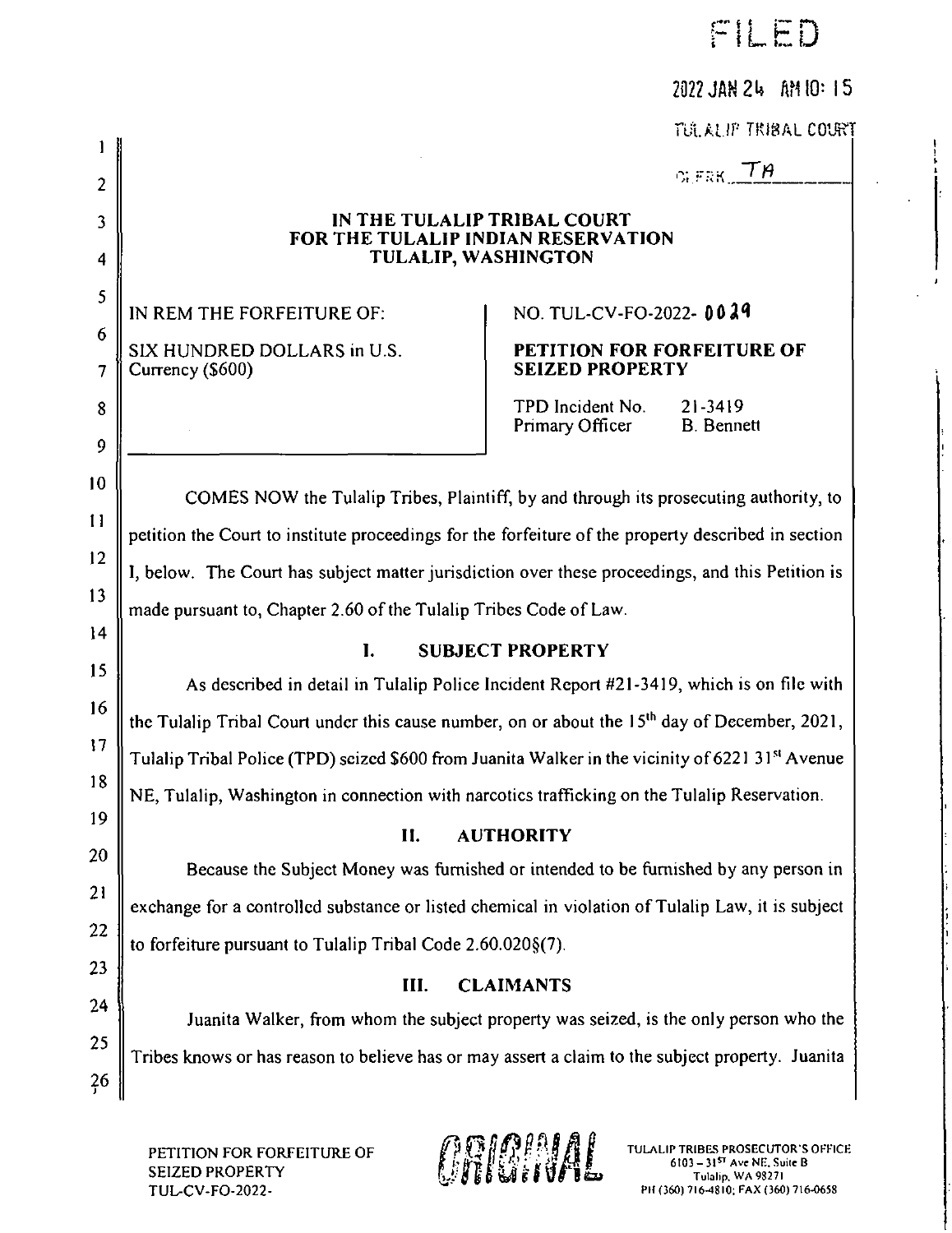|  |  | ILED |  |  |
|--|--|------|--|--|
|--|--|------|--|--|

| 2022 JAN 24 AM 10: 15 |  |  |
|-----------------------|--|--|
|-----------------------|--|--|

TGLALIP TRIBAL COURT

 $G_{\rm L}$ FRK $\square$ TA

### IN THE TULALIP TRIBAL COURT FOR THE TULALIP INDIAN RESERVATION TULALIP, WASHINGTON

12

 $11$ 

 $\mathbf{I}$ 

 $\overline{2}$ 

3

 $\overline{\mathbf{4}}$ 

 $\overline{5}$ 

6

 $\overline{7}$ 

8

9

 $10$ 

13

14

15

I6

l7

18

19

20

21

22

23

24

25

 $26$ 

# IN REM THE FORFEITURE OF: NO. TUL-CV-FO-2022- 0029

#### SIX HUNDRED DOLLARS in U.S. PETITION FOR FORFEITURE OF<br>
SEIZED PROPERTY SEIZED PROPERTY

TPD Incident No. 21-3419<br>Primary Officer B. Bennett Primary Officer

COMES NOW the Tulalip Tribes, Plaintiff, by and through its prosecuting authority, to petition the Court to institute proceedings for the forfeiture of the property described in section l, below. The Court has subject matter jurisdiction over these proceedings, and this Petition is made pursuant to, Chapter 2.60 of the Tulalip Tribes Code of Law.

## l. SUBJECT PROPERTY

As described in detail in Tulalip Police Incident Report #21-3419, which is on file with the Tulalip Tribal Court under this cause number, on or about the  $15<sup>th</sup>$  day of December, 2021, Tulalip Tribal Police (TPD) seized \$600 from Juanita Walker in the vicinity of 6221 31st Avenue  $\vert$ NE, Tulalip, Washington in connection with narcotics trafficking on the Tulalip Reservation.

## ll. AUTHORITY

Because the Subject Money was furnished or intended to be furnished by any person in exchange for a controlled substance or listed chemical in violation of Tulalip Law, it is subject | to forfeiture pursuant to Tulalip Tribal Code 2.60.020§(7).

## III. CLAIMANTS

Juanita Walker, from whom the subject property was seized, is the only person who the Tribes knows or has reason to believe has or may assert a claim to the subject property. Juanita

PETITION FOR FORFEITURE OF **1999 PARTICON FOR FORFEITURE OF 1999 PARTICON**<br>SEIZED PROPERTY 6103 – 31<sup>57</sup> Ave NE, Suite B<br>TUL-CV-FO-2022- PH (360) 716-4810; FAX (360) 716-0658